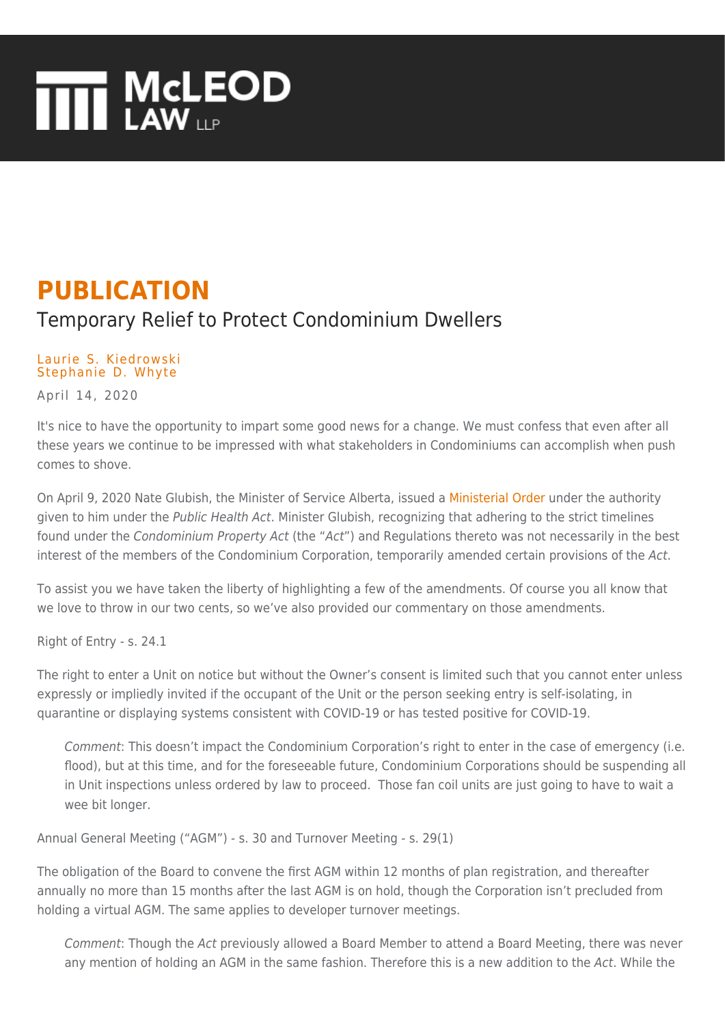## **THE MCLEOD**

## **PUBLICATION**

## Temporary Relief to Protect Condominium Dwellers

## [Laurie S. Kiedrowski](https://www.mcleod-law.com/professionals/laurie-s-kiedrowski/) [Stephanie D. Whyte](https://www.mcleod-law.com/professionals/stephanie-d-whyte/)

April 14, 2020

It's nice to have the opportunity to impart some good news for a change. We must confess that even after all these years we continue to be impressed with what stakeholders in Condominiums can accomplish when push comes to shove.

On April 9, 2020 Nate Glubish, the Minister of Service Alberta, issued a [Ministerial Order](https://open.alberta.ca/dataset/ministerial-order-no-sa-009-2020-service-alberta) under the authority given to him under the Public Health Act. Minister Glubish, recognizing that adhering to the strict timelines found under the Condominium Property Act (the "Act") and Regulations thereto was not necessarily in the best interest of the members of the Condominium Corporation, temporarily amended certain provisions of the Act.

To assist you we have taken the liberty of highlighting a few of the amendments. Of course you all know that we love to throw in our two cents, so we've also provided our commentary on those amendments.

Right of Entry - s. 24.1

The right to enter a Unit on notice but without the Owner's consent is limited such that you cannot enter unless expressly or impliedly invited if the occupant of the Unit or the person seeking entry is self-isolating, in quarantine or displaying systems consistent with COVID-19 or has tested positive for COVID-19.

Comment: This doesn't impact the Condominium Corporation's right to enter in the case of emergency (i.e. flood), but at this time, and for the foreseeable future, Condominium Corporations should be suspending all in Unit inspections unless ordered by law to proceed. Those fan coil units are just going to have to wait a wee bit longer.

Annual General Meeting ("AGM") - s. 30 and Turnover Meeting - s. 29(1)

The obligation of the Board to convene the first AGM within 12 months of plan registration, and thereafter annually no more than 15 months after the last AGM is on hold, though the Corporation isn't precluded from holding a virtual AGM. The same applies to developer turnover meetings.

Comment: Though the Act previously allowed a Board Member to attend a Board Meeting, there was never any mention of holding an AGM in the same fashion. Therefore this is a new addition to the Act. While the